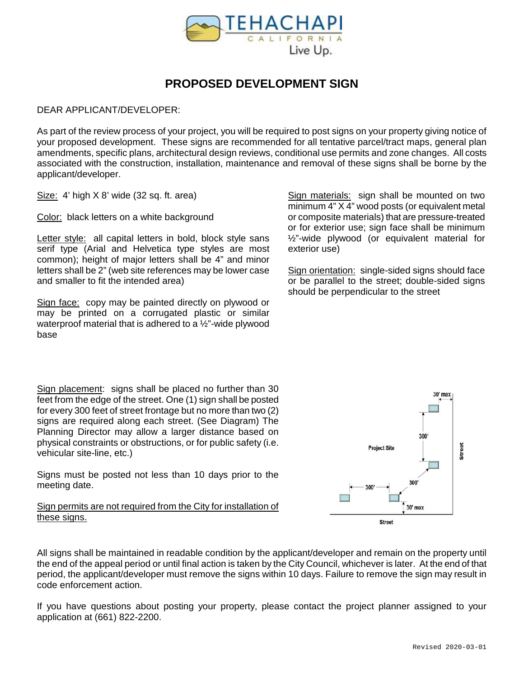

### **PROPOSED DEVELOPMENT SIGN**

#### DEAR APPLICANT/DEVELOPER:

As part of the review process of your project, you will be required to post signs on your property giving notice of your proposed development. These signs are recommended for all tentative parcel/tract maps, general plan amendments, specific plans, architectural design reviews, conditional use permits and zone changes. All costs associated with the construction, installation, maintenance and removal of these signs shall be borne by the applicant/developer.

Size: 4' high X 8' wide (32 sq. ft. area)

Color: black letters on a white background

Letter style: all capital letters in bold, block style sans serif type (Arial and Helvetica type styles are most common); height of major letters shall be 4" and minor letters shall be 2" (web site references may be lower case and smaller to fit the intended area)

Sign face: copy may be painted directly on plywood or may be printed on a corrugated plastic or similar waterproof material that is adhered to a ½"-wide plywood base

Sign materials: sign shall be mounted on two minimum 4" X 4" wood posts (or equivalent metal or composite materials) that are pressure-treated or for exterior use; sign face shall be minimum ½"-wide plywood (or equivalent material for exterior use)

Sign orientation: single-sided signs should face or be parallel to the street; double-sided signs should be perpendicular to the street

Sign placement: signs shall be placed no further than 30 feet from the edge of the street. One (1) sign shall be posted for every 300 feet of street frontage but no more than two (2) signs are required along each street. (See Diagram) The Planning Director may allow a larger distance based on physical constraints or obstructions, or for public safety (i.e. vehicular site-line, etc.)

Signs must be posted not less than 10 days prior to the meeting date.

Sign permits are not required from the City for installation of these signs.

All signs shall be maintained in readable condition by the applicant/developer and remain on the property until the end of the appeal period or until final action is taken by the City Council, whichever is later. At the end of that period, the applicant/developer must remove the signs within 10 days. Failure to remove the sign may result in code enforcement action.

If you have questions about posting your property, please contact the project planner assigned to your application at (661) 822-2200.

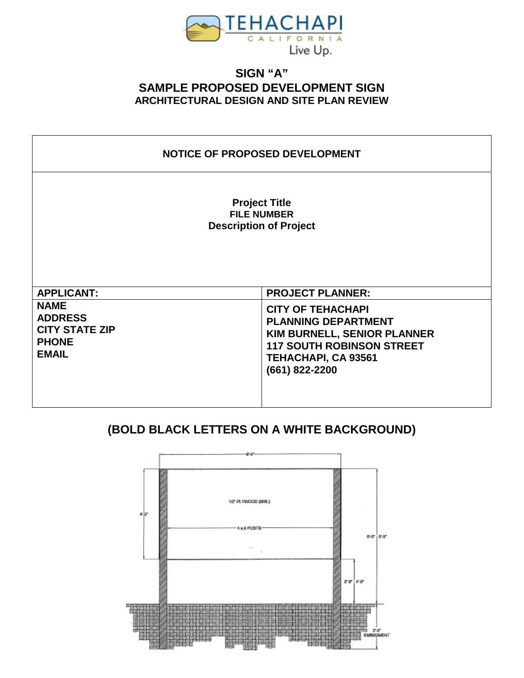

#### **SIGN "A" SAMPLE PROPOSED DEVELOPMENT SIGN ARCHITECTURAL DESIGN AND SITE PLAN REVIEW**

#### **NOTICE OF PROPOSED DEVELOPMENT**

**Project Title FILE NUMBER Description of Project**

| <b>APPLICANT:</b>                                                                      | <b>PROJECT PLANNER:</b>                                                                                                                                                          |
|----------------------------------------------------------------------------------------|----------------------------------------------------------------------------------------------------------------------------------------------------------------------------------|
| <b>NAME</b><br><b>ADDRESS</b><br><b>CITY STATE ZIP</b><br><b>PHONE</b><br><b>EMAIL</b> | <b>CITY OF TEHACHAPI</b><br><b>PLANNING DEPARTMENT</b><br><b>KIM BURNELL, SENIOR PLANNER</b><br><b>117 SOUTH ROBINSON STREET</b><br><b>TEHACHAPI, CA 93561</b><br>(661) 822-2200 |

# **(BOLD BLACK LETTERS ON A WHITE BACKGROUND)**

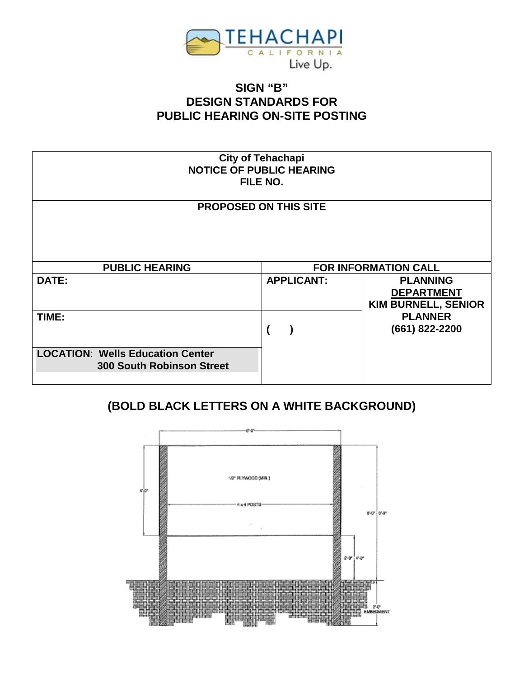

## **SIGN "B" DESIGN STANDARDS FOR PUBLIC HEARING ON-SITE POSTING**

| <b>City of Tehachapi</b><br><b>NOTICE OF PUBLIC HEARING</b><br>FILE NO.     |                   |                                                                    |  |  |  |
|-----------------------------------------------------------------------------|-------------------|--------------------------------------------------------------------|--|--|--|
| <b>PROPOSED ON THIS SITE</b>                                                |                   |                                                                    |  |  |  |
| <b>PUBLIC HEARING</b>                                                       |                   | <b>FOR INFORMATION CALL</b>                                        |  |  |  |
| <b>DATE:</b>                                                                | <b>APPLICANT:</b> | <b>PLANNING</b><br><b>DEPARTMENT</b><br><b>KIM BURNELL, SENIOR</b> |  |  |  |
| TIME:                                                                       |                   | <b>PLANNER</b><br>(661) 822-2200                                   |  |  |  |
| <b>LOCATION: Wells Education Center</b><br><b>300 South Robinson Street</b> |                   |                                                                    |  |  |  |

# **(BOLD BLACK LETTERS ON A WHITE BACKGROUND)**